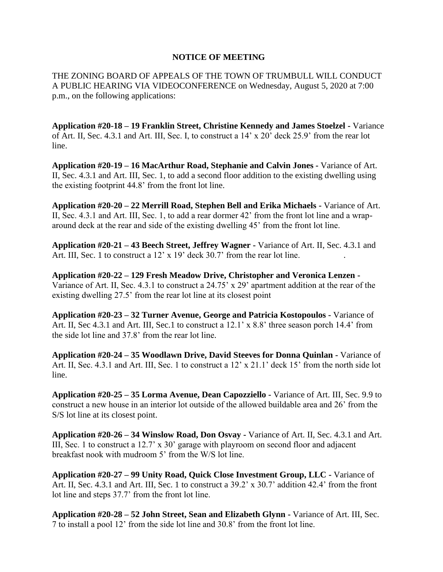## **NOTICE OF MEETING**

THE ZONING BOARD OF APPEALS OF THE TOWN OF TRUMBULL WILL CONDUCT A PUBLIC HEARING VIA VIDEOCONFERENCE on Wednesday, August 5, 2020 at 7:00 p.m., on the following applications:

**Application #20-18 – 19 Franklin Street, Christine Kennedy and James Stoelzel -** Variance of Art. II, Sec. 4.3.1 and Art. III, Sec. I, to construct a 14' x 20' deck 25.9' from the rear lot line.

**Application #20-19 – 16 MacArthur Road, Stephanie and Calvin Jones -** Variance of Art. II, Sec. 4.3.1 and Art. III, Sec. 1, to add a second floor addition to the existing dwelling using the existing footprint 44.8' from the front lot line.

**Application #20-20 – 22 Merrill Road, Stephen Bell and Erika Michaels -** Variance of Art. II, Sec. 4.3.1 and Art. III, Sec. 1, to add a rear dormer 42' from the front lot line and a wraparound deck at the rear and side of the existing dwelling 45' from the front lot line.

**Application #20-21 – 43 Beech Street, Jeffrey Wagner -** Variance of Art. II, Sec. 4.3.1 and Art. III, Sec. 1 to construct a  $12' \times 19'$  deck  $30.7'$  from the rear lot line.

**Application #20-22 – 129 Fresh Meadow Drive, Christopher and Veronica Lenzen -** Variance of Art. II, Sec. 4.3.1 to construct a 24.75' x 29' apartment addition at the rear of the existing dwelling 27.5' from the rear lot line at its closest point

**Application #20-23 – 32 Turner Avenue, George and Patricia Kostopoulos -** Variance of Art. II, Sec 4.3.1 and Art. III, Sec.1 to construct a 12.1' x 8.8' three season porch 14.4' from the side lot line and 37.8' from the rear lot line.

**Application #20-24 – 35 Woodlawn Drive, David Steeves for Donna Quinlan -** Variance of Art. II, Sec. 4.3.1 and Art. III, Sec. 1 to construct a 12' x 21.1' deck 15' from the north side lot line.

**Application #20-25 – 35 Lorma Avenue, Dean Capozziello -** Variance of Art. III, Sec. 9.9 to construct a new house in an interior lot outside of the allowed buildable area and 26' from the S/S lot line at its closest point.

**Application #20-26 – 34 Winslow Road, Don Osvay -** Variance of Art. II, Sec. 4.3.1 and Art. III, Sec. 1 to construct a 12.7' x 30' garage with playroom on second floor and adjacent breakfast nook with mudroom 5' from the W/S lot line.

**Application #20-27 – 99 Unity Road, Quick Close Investment Group, LLC -** Variance of Art. II, Sec. 4.3.1 and Art. III, Sec. 1 to construct a 39.2' x 30.7' addition 42.4' from the front lot line and steps 37.7' from the front lot line.

**Application #20-28 – 52 John Street, Sean and Elizabeth Glynn -** Variance of Art. III, Sec. 7 to install a pool 12' from the side lot line and 30.8' from the front lot line.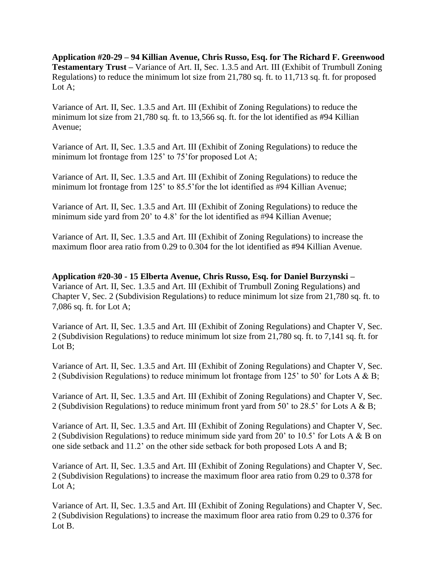**Application #20-29 – 94 Killian Avenue, Chris Russo, Esq. for The Richard F. Greenwood Testamentary Trust –** Variance of Art. II, Sec. 1.3.5 and Art. III (Exhibit of Trumbull Zoning Regulations) to reduce the minimum lot size from 21,780 sq. ft. to 11,713 sq. ft. for proposed Lot A;

Variance of Art. II, Sec. 1.3.5 and Art. III (Exhibit of Zoning Regulations) to reduce the minimum lot size from 21,780 sq. ft. to 13,566 sq. ft. for the lot identified as #94 Killian Avenue;

Variance of Art. II, Sec. 1.3.5 and Art. III (Exhibit of Zoning Regulations) to reduce the minimum lot frontage from 125' to 75' for proposed Lot A;

Variance of Art. II, Sec. 1.3.5 and Art. III (Exhibit of Zoning Regulations) to reduce the minimum lot frontage from 125' to 85.5' for the lot identified as #94 Killian Avenue;

Variance of Art. II, Sec. 1.3.5 and Art. III (Exhibit of Zoning Regulations) to reduce the minimum side yard from 20' to 4.8' for the lot identified as #94 Killian Avenue;

Variance of Art. II, Sec. 1.3.5 and Art. III (Exhibit of Zoning Regulations) to increase the maximum floor area ratio from 0.29 to 0.304 for the lot identified as #94 Killian Avenue.

**Application #20-30 - 15 Elberta Avenue, Chris Russo, Esq. for Daniel Burzynski –** Variance of Art. II, Sec. 1.3.5 and Art. III (Exhibit of Trumbull Zoning Regulations) and Chapter V, Sec. 2 (Subdivision Regulations) to reduce minimum lot size from 21,780 sq. ft. to 7,086 sq. ft. for Lot A;

Variance of Art. II, Sec. 1.3.5 and Art. III (Exhibit of Zoning Regulations) and Chapter V, Sec. 2 (Subdivision Regulations) to reduce minimum lot size from 21,780 sq. ft. to 7,141 sq. ft. for Lot B;

Variance of Art. II, Sec. 1.3.5 and Art. III (Exhibit of Zoning Regulations) and Chapter V, Sec. 2 (Subdivision Regulations) to reduce minimum lot frontage from 125' to 50' for Lots A & B;

Variance of Art. II, Sec. 1.3.5 and Art. III (Exhibit of Zoning Regulations) and Chapter V, Sec. 2 (Subdivision Regulations) to reduce minimum front yard from 50' to 28.5' for Lots A & B;

Variance of Art. II, Sec. 1.3.5 and Art. III (Exhibit of Zoning Regulations) and Chapter V, Sec. 2 (Subdivision Regulations) to reduce minimum side yard from 20' to 10.5' for Lots A & B on one side setback and 11.2' on the other side setback for both proposed Lots A and B;

Variance of Art. II, Sec. 1.3.5 and Art. III (Exhibit of Zoning Regulations) and Chapter V, Sec. 2 (Subdivision Regulations) to increase the maximum floor area ratio from 0.29 to 0.378 for Lot A;

Variance of Art. II, Sec. 1.3.5 and Art. III (Exhibit of Zoning Regulations) and Chapter V, Sec. 2 (Subdivision Regulations) to increase the maximum floor area ratio from 0.29 to 0.376 for Lot B.